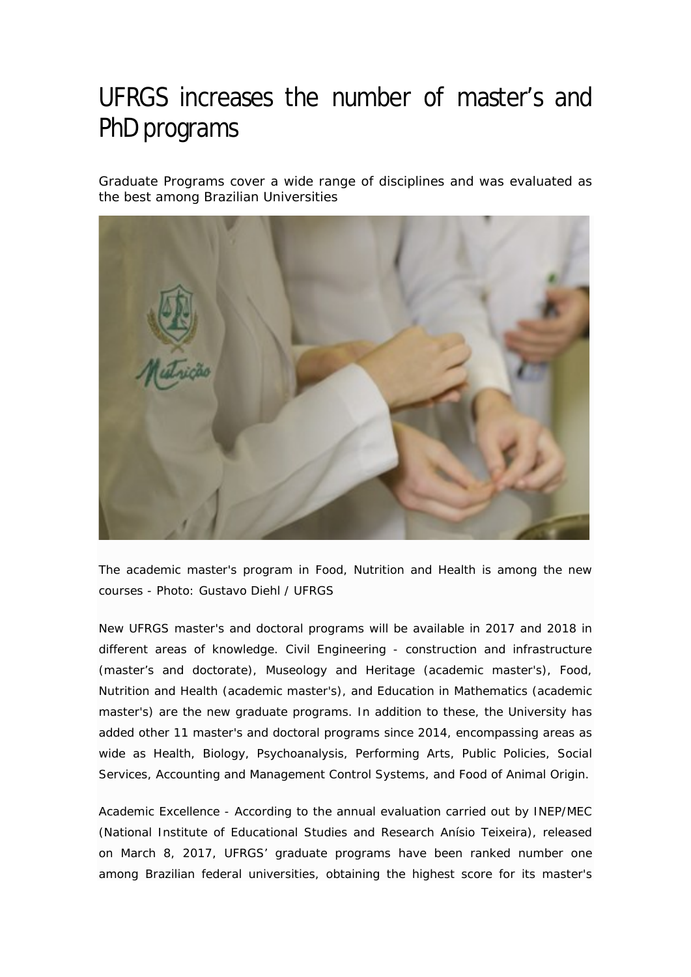## UFRGS increases the number of master's and PhD programs

Graduate Programs cover a wide range of disciplines and was evaluated as the best among Brazilian Universities



The academic master's program in Food, Nutrition and Health is among the new courses - Photo: Gustavo Diehl / UFRGS

New UFRGS master's and doctoral programs will be available in 2017 and 2018 in different areas of knowledge. Civil Engineering - construction and infrastructure (master's and doctorate), Museology and Heritage (academic master's), Food, Nutrition and Health (academic master's), and Education in Mathematics (academic master's) are the new graduate programs. In addition to these, the University has added other 11 master's and doctoral programs since 2014, encompassing areas as wide as Health, Biology, Psychoanalysis, Performing Arts, Public Policies, Social Services, Accounting and Management Control Systems, and Food of Animal Origin.

Academic Excellence - According to the annual evaluation carried out by INEP/MEC (National Institute of Educational Studies and Research Anísio Teixeira), released on March 8, 2017, UFRGS' graduate programs have been ranked number one among Brazilian federal universities, obtaining the highest score for its master's